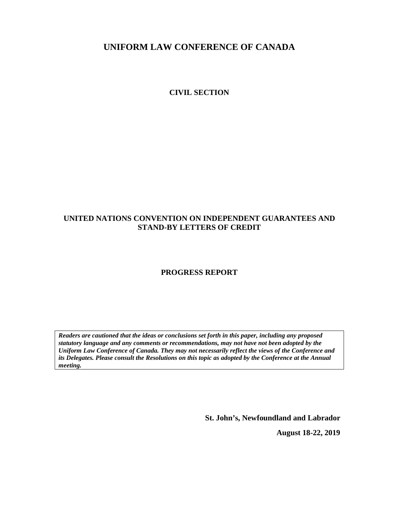### **CIVIL SECTION**

## **UNITED NATIONS CONVENTION ON INDEPENDENT GUARANTEES AND STAND-BY LETTERS OF CREDIT**

#### **PROGRESS REPORT**

*Readers are cautioned that the ideas or conclusions set forth in this paper, including any proposed statutory language and any comments or recommendations, may not have not been adopted by the Uniform Law Conference of Canada. They may not necessarily reflect the views of the Conference and its Delegates. Please consult the Resolutions on this topic as adopted by the Conference at the Annual meeting.* 

**St. John's, Newfoundland and Labrador** 

**August 18-22, 2019**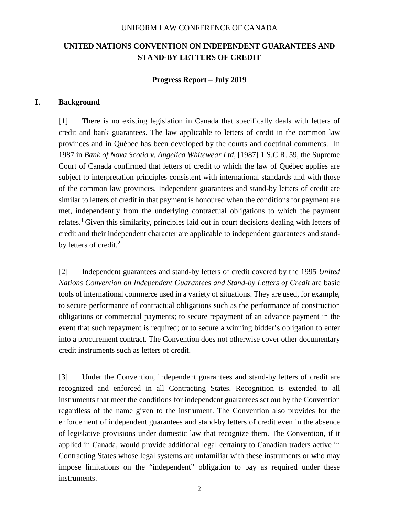## **UNITED NATIONS CONVENTION ON INDEPENDENT GUARANTEES AND STAND-BY LETTERS OF CREDIT**

#### **Progress Report – July 2019**

## **I. Background**

[1] There is no existing legislation in Canada that specifically deals with letters of credit and bank guarantees. The law applicable to letters of credit in the common law provinces and in Québec has been developed by the courts and doctrinal comments. In 1987 in *Bank of Nova Scotia v. Angelica Whitewear Ltd*, [1987] 1 S.C.R. 59, the Supreme Court of Canada confirmed that letters of credit to which the law of Québec applies are subject to interpretation principles consistent with international standards and with those of the common law provinces. Independent guarantees and stand-by letters of credit are similar to letters of credit in that payment is honoured when the conditions for payment are met, independently from the underlying contractual obligations to which the payment relates.<sup>1</sup> Given this similarity, principles laid out in court decisions dealing with letters of credit and their independent character are applicable to independent guarantees and standby letters of credit.<sup>2</sup>

[2] Independent guarantees and stand-by letters of credit covered by the 1995 *United Nations Convention on Independent Guarantees and Stand-by Letters of Credit* are basic tools of international commerce used in a variety of situations. They are used, for example, to secure performance of contractual obligations such as the performance of construction obligations or commercial payments; to secure repayment of an advance payment in the event that such repayment is required; or to secure a winning bidder's obligation to enter into a procurement contract. The Convention does not otherwise cover other documentary credit instruments such as letters of credit.

[3] Under the Convention, independent guarantees and stand-by letters of credit are recognized and enforced in all Contracting States. Recognition is extended to all instruments that meet the conditions for independent guarantees set out by the Convention regardless of the name given to the instrument. The Convention also provides for the enforcement of independent guarantees and stand-by letters of credit even in the absence of legislative provisions under domestic law that recognize them. The Convention, if it applied in Canada, would provide additional legal certainty to Canadian traders active in Contracting States whose legal systems are unfamiliar with these instruments or who may impose limitations on the "independent" obligation to pay as required under these instruments.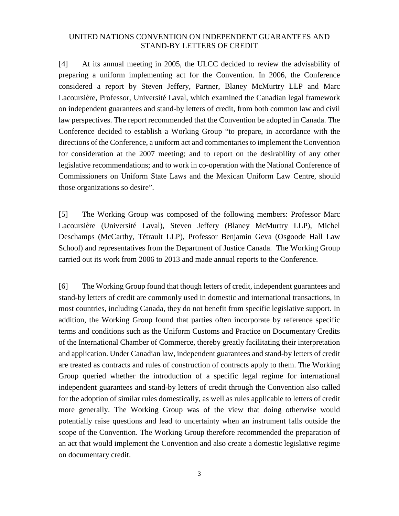#### UNITED NATIONS CONVENTION ON INDEPENDENT GUARANTEES AND STAND-BY LETTERS OF CREDIT

[4] At its annual meeting in 2005, the ULCC decided to review the advisability of preparing a uniform implementing act for the Convention. In 2006, the Conference considered a report by Steven Jeffery, Partner, Blaney McMurtry LLP and Marc Lacoursière, Professor, Université Laval, which examined the Canadian legal framework on independent guarantees and stand-by letters of credit, from both common law and civil law perspectives. The report recommended that the Convention be adopted in Canada. The Conference decided to establish a Working Group "to prepare, in accordance with the directions of the Conference, a uniform act and commentaries to implement the Convention for consideration at the 2007 meeting; and to report on the desirability of any other legislative recommendations; and to work in co-operation with the National Conference of Commissioners on Uniform State Laws and the Mexican Uniform Law Centre, should those organizations so desire".

[5] The Working Group was composed of the following members: Professor Marc Lacoursière (Université Laval), Steven Jeffery (Blaney McMurtry LLP), Michel Deschamps (McCarthy, Tétrault LLP), Professor Benjamin Geva (Osgoode Hall Law School) and representatives from the Department of Justice Canada. The Working Group carried out its work from 2006 to 2013 and made annual reports to the Conference.

[6] The Working Group found that though letters of credit, independent guarantees and stand-by letters of credit are commonly used in domestic and international transactions, in most countries, including Canada, they do not benefit from specific legislative support. In addition, the Working Group found that parties often incorporate by reference specific terms and conditions such as the Uniform Customs and Practice on Documentary Credits of the International Chamber of Commerce, thereby greatly facilitating their interpretation and application. Under Canadian law, independent guarantees and stand-by letters of credit are treated as contracts and rules of construction of contracts apply to them. The Working Group queried whether the introduction of a specific legal regime for international independent guarantees and stand-by letters of credit through the Convention also called for the adoption of similar rules domestically, as well as rules applicable to letters of credit more generally. The Working Group was of the view that doing otherwise would potentially raise questions and lead to uncertainty when an instrument falls outside the scope of the Convention. The Working Group therefore recommended the preparation of an act that would implement the Convention and also create a domestic legislative regime on documentary credit.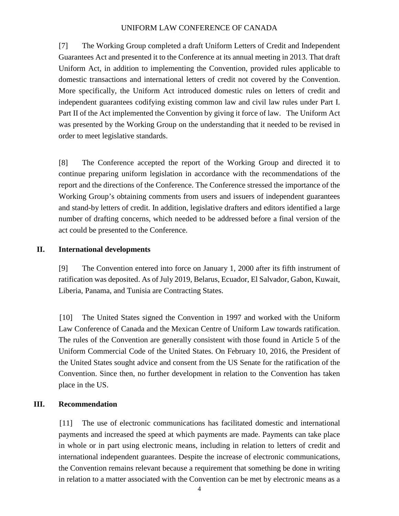[7] The Working Group completed a draft Uniform Letters of Credit and Independent Guarantees Act and presented it to the Conference at its annual meeting in 2013. That draft Uniform Act, in addition to implementing the Convention, provided rules applicable to domestic transactions and international letters of credit not covered by the Convention. More specifically, the Uniform Act introduced domestic rules on letters of credit and independent guarantees codifying existing common law and civil law rules under Part I. Part II of the Act implemented the Convention by giving it force of law. The Uniform Act was presented by the Working Group on the understanding that it needed to be revised in order to meet legislative standards.

[8] The Conference accepted the report of the Working Group and directed it to continue preparing uniform legislation in accordance with the recommendations of the report and the directions of the Conference. The Conference stressed the importance of the Working Group's obtaining comments from users and issuers of independent guarantees and stand-by letters of credit. In addition, legislative drafters and editors identified a large number of drafting concerns, which needed to be addressed before a final version of the act could be presented to the Conference.

## **II. International developments**

[9] The Convention entered into force on January 1, 2000 after its fifth instrument of ratification was deposited. As of July 2019, Belarus, Ecuador, El Salvador, Gabon, Kuwait, Liberia, Panama, and Tunisia are Contracting States.

[10] The United States signed the Convention in 1997 and worked with the Uniform Law Conference of Canada and the Mexican Centre of Uniform Law towards ratification. The rules of the Convention are generally consistent with those found in Article 5 of the Uniform Commercial Code of the United States. On February 10, 2016, the President of the United States sought advice and consent from the US Senate for the ratification of the Convention. Since then, no further development in relation to the Convention has taken place in the US.

#### **III. Recommendation**

[11] The use of electronic communications has facilitated domestic and international payments and increased the speed at which payments are made. Payments can take place in whole or in part using electronic means, including in relation to letters of credit and international independent guarantees. Despite the increase of electronic communications, the Convention remains relevant because a requirement that something be done in writing in relation to a matter associated with the Convention can be met by electronic means as a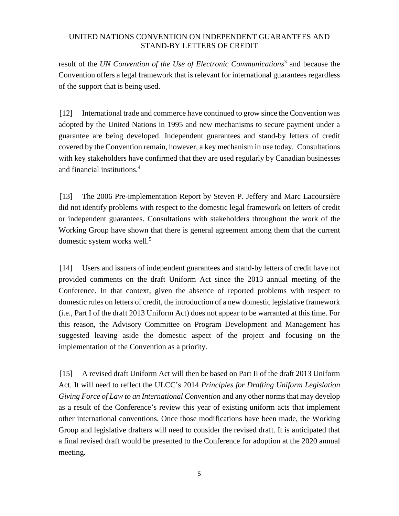#### UNITED NATIONS CONVENTION ON INDEPENDENT GUARANTEES AND STAND-BY LETTERS OF CREDIT

result of the *UN Convention of the Use of Electronic Communications*<sup>3</sup> and because the Convention offers a legal framework that is relevant for international guarantees regardless of the support that is being used.

[12] International trade and commerce have continued to grow since the Convention was adopted by the United Nations in 1995 and new mechanisms to secure payment under a guarantee are being developed. Independent guarantees and stand-by letters of credit covered by the Convention remain, however, a key mechanism in use today. Consultations with key stakeholders have confirmed that they are used regularly by Canadian businesses and financial institutions.<sup>4</sup>

[13] The 2006 Pre-implementation Report by Steven P. Jeffery and Marc Lacoursière did not identify problems with respect to the domestic legal framework on letters of credit or independent guarantees. Consultations with stakeholders throughout the work of the Working Group have shown that there is general agreement among them that the current domestic system works well.<sup>5</sup>

[14] Users and issuers of independent guarantees and stand-by letters of credit have not provided comments on the draft Uniform Act since the 2013 annual meeting of the Conference. In that context, given the absence of reported problems with respect to domestic rules on letters of credit, the introduction of a new domestic legislative framework (i.e., Part I of the draft 2013 Uniform Act) does not appear to be warranted at this time. For this reason, the Advisory Committee on Program Development and Management has suggested leaving aside the domestic aspect of the project and focusing on the implementation of the Convention as a priority.

[15] A revised draft Uniform Act will then be based on Part II of the draft 2013 Uniform Act. It will need to reflect the ULCC's 2014 *Principles for Drafting Uniform Legislation Giving Force of Law to an International Convention* and any other norms that may develop as a result of the Conference's review this year of existing uniform acts that implement other international conventions. Once those modifications have been made, the Working Group and legislative drafters will need to consider the revised draft. It is anticipated that a final revised draft would be presented to the Conference for adoption at the 2020 annual meeting.